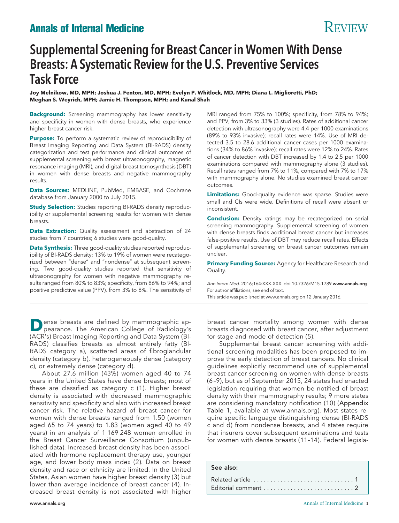# **Annals of Internal Medicine** Review Review Review Review Review Review Review Review Review Review Review Review Review Review Review Review Review Review Review Review Review Review Review Review Review Review Review Rev

# Supplemental Screening for Breast Cancer in Women With Dense Breasts: A Systematic Review for the U.S. Preventive Services Task Force

**Joy Melnikow, MD, MPH; Joshua J. Fenton, MD, MPH; Evelyn P. Whitlock, MD, MPH; Diana L. Miglioretti, PhD; Meghan S. Weyrich, MPH; Jamie H. Thompson, MPH; and Kunal Shah**

**Background:** Screening mammography has lower sensitivity and specificity in women with dense breasts, who experience higher breast cancer risk.

**Purpose:** To perform a systematic review of reproducibility of Breast Imaging Reporting and Data System (BI-RADS) density categorization and test performance and clinical outcomes of supplemental screening with breast ultrasonography, magnetic resonance imaging (MRI), and digital breast tomosynthesis (DBT) in women with dense breasts and negative mammography results.

**Data Sources:** MEDLINE, PubMed, EMBASE, and Cochrane database from January 2000 to July 2015.

**Study Selection:** Studies reporting BI-RADS density reproducibility or supplemental screening results for women with dense breasts.

**Data Extraction:** Quality assessment and abstraction of 24 studies from 7 countries; 6 studies were good-quality.

**Data Synthesis:** Three good-quality studies reported reproducibility of BI-RADS density; 13% to 19% of women were recategorized between "dense" and "nondense" at subsequent screening. Two good-quality studies reported that sensitivity of ultrasonography for women with negative mammography results ranged from 80% to 83%; specificity, from 86% to 94%; and positive predictive value (PPV), from 3% to 8%. The sensitivity of

**D**ense breasts are defined by mammographic appearance. The American College of Radiology's (ACR's) Breast Imaging Reporting and Data System (BI-RADS) classifies breasts as almost entirely fatty (BI-RADS category a), scattered areas of fibroglandular density (category b), heterogeneously dense (category c), or extremely dense (category d).

About 27.6 million (43%) women aged 40 to 74 years in the United States have dense breasts; most of these are classified as category c (1). Higher breast density is associated with decreased mammographic sensitivity and specificity and also with increased breast cancer risk. The relative hazard of breast cancer for women with dense breasts ranged from 1.50 (women aged 65 to 74 years) to 1.83 (women aged 40 to 49 years) in an analysis of 1 169 248 women enrolled in the Breast Cancer Surveillance Consortium (unpublished data). Increased breast density has been associated with hormone replacement therapy use, younger age, and lower body mass index (2). Data on breast density and race or ethnicity are limited. In the United States, Asian women have higher breast density (3) but lower than average incidence of breast cancer (4). Increased breast density is not associated with higher

MRI ranged from 75% to 100%; specificity, from 78% to 94%; and PPV, from 3% to 33% (3 studies). Rates of additional cancer detection with ultrasonography were 4.4 per 1000 examinations (89% to 93% invasive); recall rates were 14%. Use of MRI detected 3.5 to 28.6 additional cancer cases per 1000 examinations (34% to 86% invasive); recall rates were 12% to 24%. Rates of cancer detection with DBT increased by 1.4 to 2.5 per 1000 examinations compared with mammography alone (3 studies). Recall rates ranged from 7% to 11%, compared with 7% to 17% with mammography alone. No studies examined breast cancer outcomes.

**Limitations:** Good-quality evidence was sparse. Studies were small and CIs were wide. Definitions of recall were absent or inconsistent.

**Conclusion:** Density ratings may be recategorized on serial screening mammography. Supplemental screening of women with dense breasts finds additional breast cancer but increases false-positive results. Use of DBT may reduce recall rates. Effects of supplemental screening on breast cancer outcomes remain unclear.

**Primary Funding Source:** Agency for Healthcare Research and Quality.

Ann Intern Med. 2016;164:XXX-XXX. doi:10.7326/M15-1789 www.annals.org For author affiliations, see end of text. This article was published at www.annals.org on 12 January 2016.

breast cancer mortality among women with dense breasts diagnosed with breast cancer, after adjustment for stage and mode of detection (5).

Supplemental breast cancer screening with additional screening modalities has been proposed to improve the early detection of breast cancers. No clinical guidelines explicitly recommend use of supplemental breast cancer screening on women with dense breasts (6 –9), but as of September 2015, 24 states had enacted legislation requiring that women be notified of breast density with their mammography results; 9 more states are considering mandatory notification (10) (Appendix Table 1, available at [www.annals.org\)](http://www.annals.org). Most states require specific language distinguishing dense (BI-RADS c and d) from nondense breasts, and 4 states require that insurers cover subsequent examinations and tests for women with dense breasts (11–14). Federal legisla-

#### See also: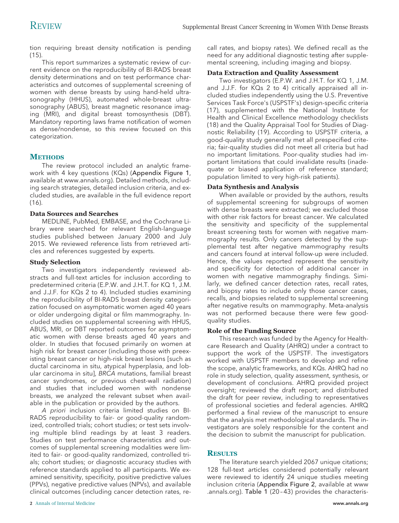tion requiring breast density notification is pending (15).

This report summarizes a systematic review of current evidence on the reproducibility of BI-RADS breast density determinations and on test performance characteristics and outcomes of supplemental screening of women with dense breasts by using hand-held ultrasonography (HHUS), automated whole-breast ultrasonography (ABUS), breast magnetic resonance imaging (MRI), and digital breast tomosynthesis (DBT). Mandatory reporting laws frame notification of women as dense/nondense, so this review focused on this categorization.

# **METHODS**

The review protocol included an analytic framework with 4 key questions (KQs) (Appendix Figure 1, available at [www.annals.org\)](http://www.annals.org). Detailed methods, including search strategies, detailed inclusion criteria, and excluded studies, are available in the full evidence report  $(16)$ .

# **Data Sources and Searches**

MEDLINE, PubMed, EMBASE, and the Cochrane Library were searched for relevant English-language studies published between January 2000 and July 2015. We reviewed reference lists from retrieved articles and references suggested by experts.

#### **Study Selection**

Two investigators independently reviewed abstracts and full-text articles for inclusion according to predetermined criteria (E.P.W. and J.H.T. for KQ 1, J.M. and J.J.F. for KQs 2 to 4). Included studies examining the reproducibility of BI-RADS breast density categorization focused on asymptomatic women aged 40 years or older undergoing digital or film mammography. Included studies on supplemental screening with HHUS, ABUS, MRI, or DBT reported outcomes for asymptomatic women with dense breasts aged 40 years and older. In studies that focused primarily on women at high risk for breast cancer (including those with preexisting breast cancer or high-risk breast lesions [such as ductal carcinoma in situ, atypical hyperplasia, and lobular carcinoma in situ], BRCA mutations, familial breast cancer syndromes, or previous chest-wall radiation) and studies that included women with nondense breasts, we analyzed the relevant subset when available in the publication or provided by the authors.

A priori inclusion criteria limited studies on BI-RADS reproducibility to fair- or good-quality randomized, controlled trials; cohort studies; or test sets involving multiple blind readings by at least 3 readers. Studies on test performance characteristics and outcomes of supplemental screening modalities were limited to fair- or good-quality randomized, controlled trials; cohort studies; or diagnostic accuracy studies with reference standards applied to all participants. We examined sensitivity, specificity, positive predictive values (PPVs), negative predictive values (NPVs), and available clinical outcomes (including cancer detection rates, recall rates, and biopsy rates). We defined recall as the need for any additional diagnostic testing after supplemental screening, including imaging and biopsy.

### **Data Extraction and Quality Assessment**

Two investigators (E.P.W. and J.H.T. for KQ 1, J.M. and J.J.F. for KQs 2 to 4) critically appraised all included studies independently using the U.S. Preventive Services Task Force's (USPSTF's) design-specific criteria (17), supplemented with the National Institute for Health and Clinical Excellence methodology checklists (18) and the Quality Appraisal Tool for Studies of Diagnostic Reliability (19). According to USPSTF criteria, a good-quality study generally met all prespecified criteria; fair-quality studies did not meet all criteria but had no important limitations. Poor-quality studies had important limitations that could invalidate results (inadequate or biased application of reference standard; population limited to very high-risk patients).

### **Data Synthesis and Analysis**

When available or provided by the authors, results of supplemental screening for subgroups of women with dense breasts were extracted; we excluded those with other risk factors for breast cancer. We calculated the sensitivity and specificity of the supplemental breast screening tests for women with negative mammography results. Only cancers detected by the supplemental test after negative mammography results and cancers found at interval follow-up were included. Hence, the values reported represent the sensitivity and specificity for detection of additional cancer in women with negative mammography findings. Similarly, we defined cancer detection rates, recall rates, and biopsy rates to include only those cancer cases, recalls, and biopsies related to supplemental screening after negative results on mammography. Meta-analysis was not performed because there were few goodquality studies.

# **Role of the Funding Source**

This research was funded by the Agency for Healthcare Research and Quality (AHRQ) under a contract to support the work of the USPSTF. The investigators worked with USPSTF members to develop and refine the scope, analytic frameworks, and KQs. AHRQ had no role in study selection, quality assessment, synthesis, or development of conclusions. AHRQ provided project oversight; reviewed the draft report; and distributed the draft for peer review, including to representatives of professional societies and federal agencies. AHRQ performed a final review of the manuscript to ensure that the analysis met methodological standards. The investigators are solely responsible for the content and the decision to submit the manuscript for publication.

# **RESULTS**

The literature search yielded 2067 unique citations; 128 full-text articles considered potentially relevant were reviewed to identify 24 unique studies meeting inclusion criteria (Appendix Figure 2, available at [www](http://www.annals.org) [.annals.org\)](http://www.annals.org). Table 1 (20-43) provides the characteris-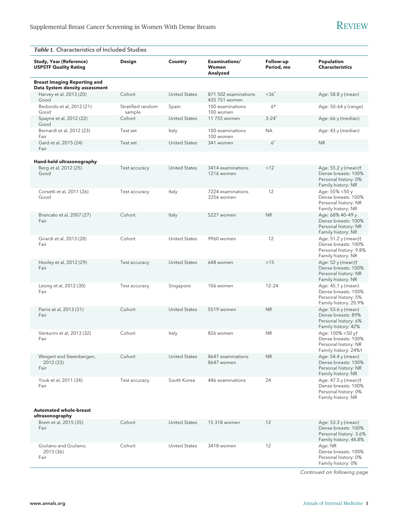| Table 1. Characteristics of Included Studies                          |                             |                      |                                       |                         |                                                                                              |  |
|-----------------------------------------------------------------------|-----------------------------|----------------------|---------------------------------------|-------------------------|----------------------------------------------------------------------------------------------|--|
| <b>Study, Year (Reference)</b><br><b>USPSTF Quality Rating</b>        | <b>Design</b>               | Country              | Examinations/<br>Women<br>Analyzed    | Follow-up<br>Period, mo | Population<br><b>Characteristics</b>                                                         |  |
| <b>Breast Imaging Reporting and</b><br>Data System density assessment |                             |                      |                                       |                         |                                                                                              |  |
| Harvey et al, 2013 (20)<br>Good                                       | Cohort                      | <b>United States</b> | 871 502 examinations<br>435 751 women | $<36*$                  | Age: 58.8 y (mean)                                                                           |  |
| Redondo et al, 2012 (21)<br>Good                                      | Stratified random<br>sample | Spain                | 100 examinations<br>100 women         | $6*$                    | Age: 50-64 y (range)                                                                         |  |
| Spayne et al, 2012 (22)<br>Good                                       | Cohort                      | <b>United States</b> | 11 755 women                          | $3 - 24^*$              | Age: 66 y (median)                                                                           |  |
| Bernardi et al, 2012 (23)<br>Fair                                     | Test set                    | Italy                | 100 examinations<br>100 women         | <b>NA</b>               | Age: 43 y (median)                                                                           |  |
| Gard et al, 2015 (24)<br>Fair                                         | Test set                    | <b>United States</b> | 341 women                             | $6^*$                   | <b>NR</b>                                                                                    |  |
| Hand-held ultrasonography                                             |                             |                      |                                       |                         |                                                                                              |  |
| Berg et al, 2012 (25)<br>Good                                         | Test accuracy               | <b>United States</b> | 3414 examinations<br>1216 women       | >12                     | Age: 55.2 y (mean)†<br>Dense breasts: 100%<br>Personal history: 0%<br>Family history: NR     |  |
| Corsetti et al, 2011 (26)<br>Good                                     | Test accuracy               | Italy                | 7224 examinations<br>3356 women       | 12                      | Age: 55% <50 y<br>Dense breasts: 100%<br>Personal history: NR<br>Family history: NR          |  |
| Brancato et al, 2007 (27)<br>Fair                                     | Cohort                      | Italy                | 5227 women                            | <b>NR</b>               | Age: 68% 40-49 y<br>Dense breasts: 100%<br>Personal history: NR<br>Family history: NR        |  |
| Girardi et al, 2013 (28)<br>Fair                                      | Cohort                      | <b>United States</b> | 9960 women                            | 12                      | Age: 51.2 y (mean)†<br>Dense breasts: 100%<br>Personal history: 9.8%<br>Family history: NR   |  |
| Hooley et al, 2012 (29)<br>Fair                                       | Test accuracy               | <b>United States</b> | 648 women                             | >15                     | Age: 52 y (mean)†<br>Dense breasts: 100%<br>Personal history: NR<br>Family history: NR       |  |
| Leong et al, 2012 (30)<br>Fair                                        | Test accuracy               | Singapore            | 106 women                             | $12 - 24$               | Age: 45.1 y (mean)<br>Dense breasts: 100%<br>Personal history: 5%<br>Family history: 20.9%   |  |
| Parris et al, 2013 (31)<br>Fair                                       | Cohort                      | <b>United States</b> | 5519 women                            | <b>NR</b>               | Age: 53.6 y (mean)<br>Dense breasts: 89%<br>Personal history: 6%<br>Family history: 42%      |  |
| Venturini et al, 2013 (32)<br>Fair                                    | Cohort                      | Italy                | 826 women                             | <b>NR</b>               | Age: 100% <50 yt<br>Dense breasts: 100%<br>Personal history: NR<br>Family history: 24%+      |  |
| Weigert and Steenbergen,<br>2012 (33)<br>Fair                         | Cohort                      | <b>United States</b> | 8647 examinations<br>8647 women       | <b>NR</b>               | Age: 54.4 y (mean)<br>Dense breasts: 100%<br>Personal history: NR<br>Family history: NR      |  |
| Youk et al, 2011 (34)<br>Fair                                         | Test accuracy               | South Korea          | 446 examinations                      | 24                      | Age: 47.5 y (mean)†<br>Dense breasts: 100%<br>Personal history: 0%<br>Family history: NR     |  |
| <b>Automated whole-breast</b><br>ultrasonography                      |                             |                      |                                       |                         |                                                                                              |  |
| Brem et al, 2015 (35)<br>Fair                                         | Cohort                      | <b>United States</b> | 15 318 women                          | 12                      | Age: 53.3 y (mean)<br>Dense breasts: 100%<br>Personal history: 3.6%<br>Family history: 44.8% |  |
| Giuliano and Giuliano,<br>2013 (36)<br>Fair                           | Cohort                      | <b>United States</b> | 3418 women                            | 12                      | Age: NR<br>Dense breasts: 100%<br>Personal history: 0%<br>Family history: 0%                 |  |

Continued on following page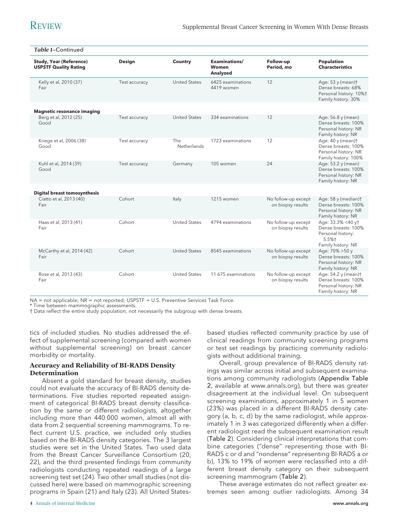| Table 1-Continued                                              |               |                      |                                    |                                          |                                                                                              |
|----------------------------------------------------------------|---------------|----------------------|------------------------------------|------------------------------------------|----------------------------------------------------------------------------------------------|
| <b>Study, Year (Reference)</b><br><b>USPSTF Quality Rating</b> | Design        | <b>Country</b>       | Examinations/<br>Women<br>Analyzed | Follow-up<br>Period, mo                  | <b>Population</b><br><b>Characteristics</b>                                                  |
| Kelly et al, 2010 (37)<br>Fair                                 | Test accuracy | <b>United States</b> | 6425 examinations<br>4419 women    | 12                                       | Age: 53 y (mean)+<br>Dense breasts: 68%<br>Personal history: 10%+<br>Family history: 30%     |
| <b>Magnetic resonance imaging</b>                              |               |                      |                                    |                                          |                                                                                              |
| Berg et al, 2012 (25)<br>Good                                  | Test accuracy | <b>United States</b> | 334 examinations                   | 12                                       | Age: 56.8 y (mean)<br>Dense breasts: 100%<br>Personal history: NR<br>Family history: NR      |
| Kriege et al, 2006 (38)<br>Good                                | Test accuracy | The<br>Netherlands   | 1723 examinations                  | 12                                       | Age: 40 y (mean)t<br>Dense breasts: 100%<br>Personal history: NR<br>Family history: 100%     |
| Kuhl et al, 2014 (39)<br>Good                                  | Test accuracy | Germany              | 105 women                          | 24                                       | Age: 53.2 y (mean)<br>Dense breasts: 100%<br>Personal history: NR<br>Family history: NR      |
| <b>Digital breast tomosynthesis</b>                            |               |                      |                                    |                                          |                                                                                              |
| Ciatto et al, 2013 (40)<br>Fair                                | Cohort        | Italy                | 1215 women                         | No follow-up except<br>on biopsy results | Age: 58 y (median)t<br>Dense breasts: 100%<br>Personal history: NR<br>Family history: NR     |
| Haas et al, 2013 (41)<br>Fair                                  | Cohort        | <b>United States</b> | 4794 examinations                  | No follow-up except<br>on biopsy results | Age: 33.3% <40 yt<br>Dense breasts: 100%<br>Personal history:<br>5.5%+<br>Family history: NR |
| McCarthy et al, 2014 (42)<br>Fair                              | Cohort        | <b>United States</b> | 8545 examinations                  | No follow-up except<br>on biopsy results | Age: 70% > 50 y<br>Dense breasts: 100%<br>Personal history: NR<br>Family history: NR         |
| Rose et al, 2013 (43)<br>Fair                                  | Cohort        | <b>United States</b> | 11 675 examinations                | No follow-up except<br>on biopsy results | Age: 54.2 y (mean)+<br>Dense breasts: 100%<br>Personal history: NR<br>Family history: NR     |

NA = not applicable; NR = not reported; USPSTF = U.S. Preventive Services Task Force.

Time between mammographic assessments.

† Data reflect the entire study population, not necessarily the subgroup with dense breasts.

tics of included studies. No studies addressed the effect of supplemental screening (compared with women without supplemental screening) on breast cancer morbidity or mortality.

#### **Accuracy and Reliability of BI-RADS Density Determination**

Absent a gold standard for breast density, studies could not evaluate the accuracy of BI-RADS density determinations. Five studies reported repeated assignment of categorical BI-RADS breast density classification by the same or different radiologists, altogether including more than 440 000 women, almost all with data from 2 sequential screening mammograms. To reflect current U.S. practice, we included only studies based on the BI-RADS density categories. The 3 largest studies were set in the United States. Two used data from the Breast Cancer Surveillance Consortium (20, 22), and the third presented findings from community radiologists conducting repeated readings of a large screening test set (24). Two other small studies (not discussed here) were based on mammographic screening programs in Spain (21) and Italy (23). All United States–

based studies reflected community practice by use of clinical readings from community screening programs or test set readings by practicing community radiologists without additional training.

Overall, group prevalence of BI-RADS density ratings was similar across initial and subsequent examinations among community radiologists (Appendix Table 2, available at [www.annals.org\)](http://www.annals.org), but there was greater disagreement at the individual level. On subsequent screening examinations, approximately 1 in 5 women (23%) was placed in a different BI-RADS density category (a, b, c, d) by the same radiologist, while approximately 1 in 3 was categorized differently when a different radiologist read the subsequent examination result (Table 2). Considering clinical interpretations that combine categories ("dense" representing those with BI-RADS c or d and "nondense" representing BI-RADS a or b), 13% to 19% of women were reclassified into a different breast density category on their subsequent screening mammogram (Table 2).

These average estimates do not reflect greater extremes seen among outlier radiologists. Among 34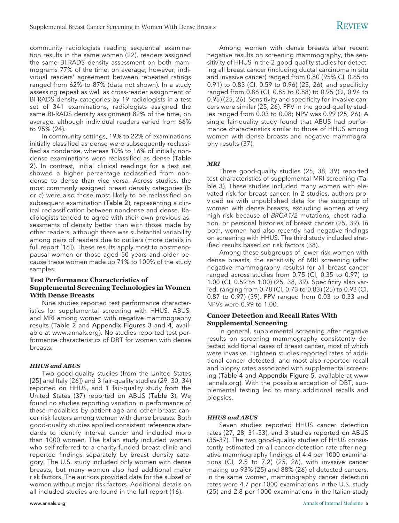community radiologists reading sequential examination results in the same women (22), readers assigned the same BI-RADS density assessment on both mammograms 77% of the time, on average; however, individual readers' agreement between repeated ratings ranged from 62% to 87% (data not shown). In a study assessing repeat as well as cross-reader assignment of BI-RADS density categories by 19 radiologists in a test set of 341 examinations, radiologists assigned the same BI-RADS density assignment 82% of the time, on average, although individual readers varied from 66% to 95% (24).

In community settings, 19% to 22% of examinations initially classified as dense were subsequently reclassified as nondense, whereas 10% to 16% of initially nondense examinations were reclassified as dense (Table 2). In contrast, initial clinical readings for a test set showed a higher percentage reclassified from nondense to dense than vice versa. Across studies, the most commonly assigned breast density categories (b or c) were also those most likely to be reclassified on subsequent examination (Table 2), representing a clinical reclassification between nondense and dense. Radiologists tended to agree with their own previous assessments of density better than with those made by other readers, although there was substantial variability among pairs of readers due to outliers (more details in full report [16]). These results apply most to postmenopausal women or those aged 50 years and older because these women made up 71% to 100% of the study samples.

# **Test Performance Characteristics of Supplemental Screening Technologies in Women With Dense Breasts**

Nine studies reported test performance characteristics for supplemental screening with HHUS, ABUS, and MRI among women with negative mammography results (Table 2 and Appendix Figures 3 and 4, available at [www.annals.org\)](http://www.annals.org). No studies reported test performance characteristics of DBT for women with dense breasts.

#### *HHUS and ABUS*

Two good-quality studies (from the United States [25] and Italy [26]) and 3 fair-quality studies (29, 30, 34) reported on HHUS, and 1 fair-quality study from the United States (37) reported on ABUS (Table 3). We found no studies reporting variation in performance of these modalities by patient age and other breast cancer risk factors among women with dense breasts. Both good-quality studies applied consistent reference standards to identify interval cancer and included more than 1000 women. The Italian study included women who self-referred to a charity-funded breast clinic and reported findings separately by breast density category. The U.S. study included only women with dense breasts, but many women also had additional major risk factors. The authors provided data for the subset of women without major risk factors. Additional details on all included studies are found in the full report (16).

Among women with dense breasts after recent negative results on screening mammography, the sensitivity of HHUS in the 2 good-quality studies for detecting all breast cancer (including ductal carcinoma in situ and invasive cancer) ranged from 0.80 (95% CI, 0.65 to 0.91) to 0.83 (CI, 0.59 to 0.96) (25, 26), and specificity ranged from 0.86 (CI, 0.85 to 0.88) to 0.95 (CI, 0.94 to 0.95) (25, 26). Sensitivity and specificity for invasive cancers were similar (25, 26). PPV in the good-quality studies ranged from 0.03 to 0.08; NPV was 0.99 (25, 26). A single fair-quality study found that ABUS had performance characteristics similar to those of HHUS among women with dense breasts and negative mammography results (37).

#### *MRI*

Three good-quality studies (25, 38, 39) reported test characteristics of supplemental MRI screening (Table 3). These studies included many women with elevated risk for breast cancer. In 2 studies, authors provided us with unpublished data for the subgroup of women with dense breasts, excluding women at very high risk because of BRCA1/2 mutations, chest radiation, or personal histories of breast cancer (25, 39). In both, women had also recently had negative findings on screening with HHUS. The third study included stratified results based on risk factors (38).

Among these subgroups of lower-risk women with dense breasts, the sensitivity of MRI screening (after negative mammography results) for all breast cancer ranged across studies from 0.75 (CI, 0.35 to 0.97) to 1.00 (CI, 0.59 to 1.00) (25, 38, 39). Specificity also varied, ranging from 0.78 (CI, 0.73 to 0.83) (25) to 0.93 (CI, 0.87 to 0.97) (39). PPV ranged from 0.03 to 0.33 and NPVs were 0.99 to 1.00.

### **Cancer Detection and Recall Rates With Supplemental Screening**

In general, supplemental screening after negative results on screening mammography consistently detected additional cases of breast cancer, most of which were invasive. Eighteen studies reported rates of additional cancer detected, and most also reported recall and biopsy rates associated with supplemental screening (Table 4 and Appendix Figure 5, available at [www](http://www.annals.org) [.annals.org\)](http://www.annals.org). With the possible exception of DBT, supplemental testing led to many additional recalls and biopsies.

#### *HHUS and ABUS*

Seven studies reported HHUS cancer detection rates (27, 28, 31–33), and 3 studies reported on ABUS (35–37). The two good-quality studies of HHUS consistently estimated an all-cancer detection rate after negative mammography findings of 4.4 per 1000 examinations (CI, 2.5 to 7.2) (25, 26), with invasive cancer making up 93% (25) and 88% (26) of detected cancers. In the same women, mammography cancer detection rates were 4.7 per 1000 examinations in the U.S. study (25) and 2.8 per 1000 examinations in the Italian study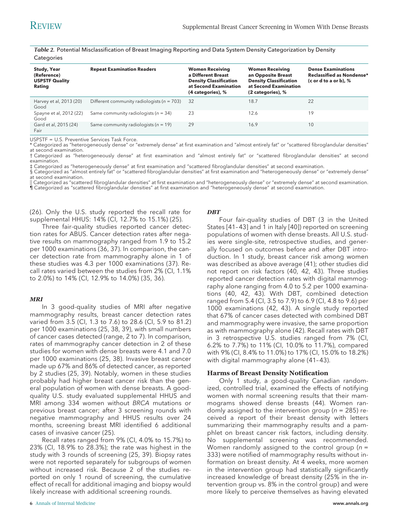*Table 2.* Potential Misclassification of Breast Imaging Reporting and Data System Density Categorization by Density **Categories** 

| Study, Year<br>(Reference)<br><b>USPSTF Quality</b> | <b>Repeat Examination Readers</b>              | <b>Women Receiving</b><br>a Different Breast<br><b>Density Classification</b> | <b>Women Receiving</b><br>an Opposite Breast<br><b>Density Classification</b> | <b>Dense Examinations</b><br>Reclassified as Nondense*<br>(c or d to a or b), $%$ |
|-----------------------------------------------------|------------------------------------------------|-------------------------------------------------------------------------------|-------------------------------------------------------------------------------|-----------------------------------------------------------------------------------|
| Rating                                              |                                                | at Second Examination<br>(4 categories), %                                    | at Second Examination<br>(2 categories), %                                    |                                                                                   |
| Harvey et al, 2013 (20)<br>Good                     | Different community radiologists ( $n = 703$ ) | -32                                                                           | 18.7                                                                          | 22                                                                                |
| Spayne et al, 2012 (22)<br>Good                     | Same community radiologists ( $n = 34$ )       | 23                                                                            | 12.6                                                                          | 19                                                                                |
| Gard et al, 2015 (24)<br>Fair                       | Same community radiologists ( $n = 19$ )       | 29                                                                            | 16.9                                                                          | 10                                                                                |

USPSTF = U.S. Preventive Services Task Force.

\* Categorized as "heterogeneously dense" or "extremely dense" at first examination and "almost entirely fat" or "scattered fibroglandular densities" at second examination.

† Categorized as "heterogeneously dense" at first examination and "almost entirely fat" or "scattered fibroglandular densities" at second examination.

‡ Categorized as "heterogeneously dense" at first examination and "scattered fibroglandular densities" at second examination.

§ Categorized as "almost entirely fat" or "scattered fibroglandular densities" at first examination and "heterogeneously dense" or "extremely dense" at second examination.

-- Categorized as "scattered fibroglandular densities" at first examination and "heterogeneously dense" or "extremely dense" at second examination. ¶ Categorized as "scattered fibroglandular densities" at first examination and "heterogeneously dense" at second examination.

(26). Only the U.S. study reported the recall rate for supplemental HHUS: 14% (CI, 12.7% to 15.1%) (25).

Three fair-quality studies reported cancer detection rates for ABUS. Cancer detection rates after negative results on mammography ranged from 1.9 to 15.2 per 1000 examinations (36, 37). In comparison, the cancer detection rate from mammography alone in 1 of these studies was 4.3 per 1000 examinations (37). Recall rates varied between the studies from 2% (CI, 1.1% to 2.0%) to 14% (CI, 12.9% to 14.0%) (35, 36).

#### *MRI*

In 3 good-quality studies of MRI after negative mammography results, breast cancer detection rates varied from 3.5 (CI, 1.3 to 7.6) to 28.6 (CI, 5.9 to 81.2) per 1000 examinations (25, 38, 39), with small numbers of cancer cases detected (range, 2 to 7). In comparison, rates of mammography cancer detection in 2 of these studies for women with dense breasts were 4.1 and 7.0 per 1000 examinations (25, 38). Invasive breast cancer made up 67% and 86% of detected cancer, as reported by 2 studies (25, 39). Notably, women in these studies probably had higher breast cancer risk than the general population of women with dense breasts. A goodquality U.S. study evaluated supplemental HHUS and MRI among 334 women without BRCA mutations or previous breast cancer; after 3 screening rounds with negative mammography and HHUS results over 24 months, screening breast MRI identified 6 additional cases of invasive cancer (25).

Recall rates ranged from 9% (CI, 4.0% to 15.7%) to 23% (CI, 18.9% to 28.3%); the rate was highest in the study with 3 rounds of screening (25, 39). Biopsy rates were not reported separately for subgroups of women without increased risk. Because 2 of the studies reported on only 1 round of screening, the cumulative effect of recall for additional imaging and biopsy would likely increase with additional screening rounds.

#### *DBT*

Four fair-quality studies of DBT (3 in the United States [41– 43] and 1 in Italy [40]) reported on screening populations of women with dense breasts. All U.S. studies were single-site, retrospective studies, and generally focused on outcomes before and after DBT introduction. In 1 study, breast cancer risk among women was described as above average (41); other studies did not report on risk factors (40, 42, 43). Three studies reported cancer detection rates with digital mammography alone ranging from 4.0 to 5.2 per 1000 examinations (40, 42, 43). With DBT, combined detection ranged from 5.4 (CI, 3.5 to 7.9) to 6.9 (CI, 4.8 to 9.6) per 1000 examinations (42, 43). A single study reported that 67% of cancer cases detected with combined DBT and mammography were invasive, the same proportion as with mammography alone (42). Recall rates with DBT in 3 retrospective U.S. studies ranged from 7% (CI, 6.2% to 7.7%) to 11% (CI, 10.0% to 11.7%), compared with 9% (CI, 8.4% to 11.0%) to 17% (CI, 15.0% to 18.2%) with digital mammography alone (41– 43).

#### **Harms of Breast Density Notification**

Only 1 study, a good-quality Canadian randomized, controlled trial, examined the effects of notifying women with normal screening results that their mammograms showed dense breasts (44). Women randomly assigned to the intervention group ( $n = 285$ ) received a report of their breast density with letters summarizing their mammography results and a pamphlet on breast cancer risk factors, including density. No supplemental screening was recommended. Women randomly assigned to the control group ( $n =$ 333) were notified of mammography results without information on breast density. At 4 weeks, more women in the intervention group had statistically significantly increased knowledge of breast density (25% in the intervention group vs. 8% in the control group) and were more likely to perceive themselves as having elevated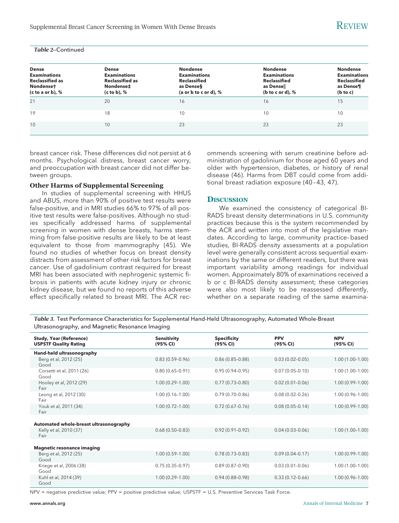#### *Table 2*—Continued

| <b>Dense</b><br><b>Examinations</b><br><b>Reclassified as</b><br>Nondenset<br>(c to a or b), $%$ | <b>Dense</b><br><b>Examinations</b><br><b>Reclassified as</b><br>Nondense‡<br>(c to b), % | <b>Nondense</b><br><b>Examinations</b><br><b>Reclassified</b><br>as Denses<br>(a or b to c or d), % | <b>Nondense</b><br><b>Examinations</b><br><b>Reclassified</b><br>as Densell<br>(b to c or d), $%$ | <b>Nondense</b><br><b>Examinations</b><br><b>Reclassified</b><br>as Dense¶<br>(b to c) |
|--------------------------------------------------------------------------------------------------|-------------------------------------------------------------------------------------------|-----------------------------------------------------------------------------------------------------|---------------------------------------------------------------------------------------------------|----------------------------------------------------------------------------------------|
| 21                                                                                               | 20                                                                                        | 16                                                                                                  | 16                                                                                                | 15                                                                                     |
| 19                                                                                               | 18                                                                                        | 10                                                                                                  | 10                                                                                                | 10                                                                                     |
| 10                                                                                               | 10                                                                                        | 23                                                                                                  | 23                                                                                                | 23                                                                                     |

breast cancer risk. These differences did not persist at 6 months. Psychological distress, breast cancer worry, and preoccupation with breast cancer did not differ between groups.

#### **Other Harms of Supplemental Screening**

In studies of supplemental screening with HHUS and ABUS, more than 90% of positive test results were false-positive, and in MRI studies 66% to 97% of all positive test results were false-positives. Although no studies specifically addressed harms of supplemental screening in women with dense breasts, harms stemming from false-positive results are likely to be at least equivalent to those from mammography (45). We found no studies of whether focus on breast density distracts from assessment of other risk factors for breast cancer. Use of gadolinium contrast required for breast MRI has been associated with nephrogenic systemic fibrosis in patients with acute kidney injury or chronic kidney disease, but we found no reports of this adverse effect specifically related to breast MRI. The ACR recommends screening with serum creatinine before administration of gadolinium for those aged 60 years and older with hypertension, diabetes, or history of renal disease (46). Harms from DBT could come from additional breast radiation exposure (40 – 43, 47).

#### **DISCUSSION**

We examined the consistency of categorical BI-RADS breast density determinations in U.S. community practices because this is the system recommended by the ACR and written into most of the legislative mandates. According to large, community practice–based studies, BI-RADS density assessments at a population level were generally consistent across sequential examinations by the same or different readers, but there was important variability among readings for individual women. Approximately 80% of examinations received a b or c BI-RADS density assessment; these categories were also most likely to be reassessed differently, whether on a separate reading of the same examina-

*Table 3.* Test Performance Characteristics for Supplemental Hand-Held Ultrasonography, Automated Whole-Breast Ultrasonography, and Magnetic Resonance Imaging

| <b>Study, Year (Reference)</b><br><b>USPSTF Quality Rating</b> | <b>Sensitivity</b><br>(95% CI) | <b>Specificity</b><br>(95% CI) | <b>PPV</b><br>(95% CI) | <b>NPV</b><br>(95% CI) |
|----------------------------------------------------------------|--------------------------------|--------------------------------|------------------------|------------------------|
| Hand-held ultrasonography                                      |                                |                                |                        |                        |
| Berg et al, 2012 (25)<br>Good                                  | $0.83(0.59 - 0.96)$            | $0.86(0.85 - 0.88)$            | $0.03(0.02 - 0.05)$    | $1.00(1.00-1.00)$      |
| Corsetti et al, 2011 (26)<br>Good                              | $0.80(0.65 - 0.91)$            | $0.95(0.94 - 0.95)$            | $0.07(0.05 - 0.10)$    | $1.00(1.00-1.00)$      |
| Hooley et al, 2012 (29)<br>Fair                                | $1.00(0.29 - 1.00)$            | $0.77(0.73 - 0.80)$            | $0.02(0.01 - 0.06)$    | $1.00(0.99 - 1.00)$    |
| Leong et al, 2012 (30)<br>Fair                                 | $1.00(0.16 - 1.00)$            | $0.79(0.70-0.86)$              | $0.08(0.02 - 0.26)$    | $1.00(0.96 - 1.00)$    |
| Youk et al, 2011 (34)<br>Fair                                  | $1.00(0.72 - 1.00)$            | $0.72(0.67-0.76)$              | $0.08(0.05 - 0.14)$    | $1.00(0.99 - 1.00)$    |
|                                                                |                                |                                |                        |                        |
| Automated whole-breast ultrasonography                         |                                |                                |                        |                        |
| Kelly et al, 2010 (37)<br>Fair                                 | $0.68(0.50-0.83)$              | $0.92(0.91 - 0.92)$            | $0.04(0.03 - 0.06)$    | $1.00(1.00-1.00)$      |
|                                                                |                                |                                |                        |                        |
| <b>Magnetic resonance imaging</b>                              |                                |                                |                        |                        |
| Berg et al, 2012 (25)<br>Good                                  | $1.00(0.59 - 1.00)$            | $0.78(0.73 - 0.83)$            | $0.09(0.04 - 0.17)$    | $1.00(0.99 - 1.00)$    |
| Kriege et al, 2006 (38)<br>Good                                | $0.75(0.35-0.97)$              | $0.89(0.87 - 0.90)$            | $0.03(0.01 - 0.06)$    | $1.00(1.00-1.00)$      |
| Kuhl et al, 2014 (39)<br>Good                                  | $1.00(0.29 - 1.00)$            | $0.94(0.88 - 0.98)$            | $0.33(0.12 - 0.66)$    | $1.00(0.96 - 1.00)$    |

NPV = negative predictive value; PPV = positive predictive value; USPSTF = U.S. Preventive Services Task Force.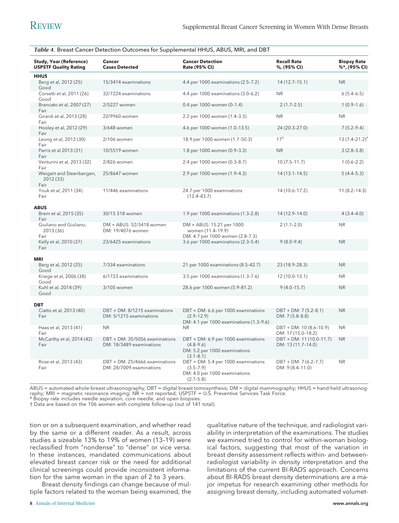| Table 4. Breast Cancer Detection Outcomes for Supplemental HHUS, ABUS, MRI, and DBT |                                                            |                                                                                                        |                                                 |                                    |  |  |  |
|-------------------------------------------------------------------------------------|------------------------------------------------------------|--------------------------------------------------------------------------------------------------------|-------------------------------------------------|------------------------------------|--|--|--|
| <b>Study, Year (Reference)</b><br><b>USPSTF Quality Rating</b>                      | <b>Cancer</b><br><b>Cases Detected</b>                     | <b>Cancer Detection</b><br>Rate (95% CI)                                                               | <b>Recall Rate</b><br>%, (95% CI)               | <b>Biopsy Rate</b><br>%*, (95% CI) |  |  |  |
| <b>HHUS</b>                                                                         |                                                            |                                                                                                        |                                                 |                                    |  |  |  |
| Berg et al, 2012 (25)<br>Good                                                       | 15/3414 examinations                                       | 4.4 per 1000 examinations (2.5-7.2)                                                                    | 14 (12.7-15.1)                                  | <b>NR</b>                          |  |  |  |
| Corsetti et al, 2011 (26)<br>Good                                                   | 32/7224 examinations                                       | 4.4 per 1000 examinations (3.0-6.2)                                                                    | <b>NR</b>                                       | $6(5.4-6.5)$                       |  |  |  |
| Brancato et al, 2007 (27)<br>Fair                                                   | 2/5227 women                                               | 0.4 per 1000 women (0-1.4)                                                                             | $2(1.7-2.5)$                                    | $1(0.9-1.6)$                       |  |  |  |
| Girardi et al, 2013 (28)<br>Fair                                                    | 22/9960 women                                              | 2.2 per 1000 women (1.4-3.3)                                                                           | <b>NR</b>                                       | <b>NR</b>                          |  |  |  |
| Hooley et al, 2012 (29)<br>Fair                                                     | 3/648 women                                                | 4.6 per 1000 women (1.0-13.5)                                                                          | 24 (20.3-27.0)                                  | $7(5.2 - 9.4)$                     |  |  |  |
| Leong et al, 2012 (30)<br>Fair                                                      | 2/106 women                                                | 18.9 per 1000 women (1.7-50.3)                                                                         | $17^{+}$                                        | $13(7.4 - 21.2)^{+}$               |  |  |  |
| Parris et al 2013 (31)<br>Fair                                                      | 10/5519 women                                              | 1.8 per 1000 women (0.9-3.3)                                                                           | <b>NR</b>                                       | $3(2.8-3.8)$                       |  |  |  |
| Venturini et al, 2013 (32)<br>Fair                                                  | 2/826 women                                                | 2.4 per 1000 women (0.3-8.7)                                                                           | $10(7.5 - 11.7)$                                | $1(0.6-2.2)$                       |  |  |  |
| Weigert and Steenbergen,<br>2012 (33)<br>Fair                                       | 25/8647 women                                              | 2.9 per 1000 women (1.9-4.3)                                                                           | $14(13.1 - 14.5)$                               | $5(4.4-5.3)$                       |  |  |  |
| Youk et al, 2011 (34)<br>Fair                                                       | 11/446 examinations                                        | 24.7 per 1000 examinations<br>$(12.4 - 43.7)$                                                          | 14 (10.6-17.2)                                  | $11(8.2 - 14.3)$                   |  |  |  |
| <b>ABUS</b>                                                                         |                                                            |                                                                                                        |                                                 |                                    |  |  |  |
| Brem et al, 2015 (35)<br>Fair                                                       | 30/15 318 women                                            | 1.9 per 1000 examinations (1.3-2.8)                                                                    | 14 (12.9-14.0)                                  | $4(3.4-4.0)$                       |  |  |  |
| Giuliano and Giuliano,<br>2013 (36)<br>Fair                                         | DM + ABUS: 52/3418 women<br>DM: 19/4076 women              | DM + ABUS: 15.21 per 1000<br>women (11.4-19.9)<br>DM: 4.7 per 1000 women (2.8-7.3)                     | $2(1.1 - 2.0)$                                  | <b>NR</b>                          |  |  |  |
| Kelly et al, 2010 (37)<br>Fair                                                      | 23/6425 examinations                                       | 3.6 per 1000 examinations (2.3-5.4)                                                                    | $9(8.0 - 9.4)$                                  | <b>NR</b>                          |  |  |  |
| <b>MRI</b>                                                                          |                                                            |                                                                                                        |                                                 |                                    |  |  |  |
| Berg et al, 2012 (25)<br>Good                                                       | 7/334 examinations                                         | 21 per 1000 examinations (8.5-42.7)                                                                    | 23 (18.9-28.3)                                  | <b>NR</b>                          |  |  |  |
| Kriege et al, 2006 (38)<br>Good                                                     | 6/1723 examinations                                        | 3.5 per 1000 examinations (1.3-7.6)                                                                    | 12 (10.0-13.1)                                  | NR.                                |  |  |  |
| Kuhl et al, 2014 (39)<br>Good                                                       | 3/105 women                                                | 28.6 per 1000 women (5.9-81.2)                                                                         | $9(4.0 - 15.7)$                                 | <b>NR</b>                          |  |  |  |
|                                                                                     |                                                            |                                                                                                        |                                                 |                                    |  |  |  |
| <b>DBT</b><br>Ciatto et al, 2013 (40)                                               | DBT + DM: 8/1215 examinations                              | DBT + DM: 6.6 per 1000 examinations                                                                    | $DBT + DM: 7(5.2 - 8.1)$                        | <b>NR</b>                          |  |  |  |
| Fair                                                                                | DM: 5/1215 examinations                                    | $(2.9 - 12.9)$<br>DM: 4.1 per 1000 examinations (1.3-9.6)                                              | DM: 7 (5.8-8.8)                                 |                                    |  |  |  |
| Haas et al, 2013 (41)<br>Fair                                                       | <b>NR</b>                                                  | <b>NR</b>                                                                                              | DBT + DM: 10 (8.6-10.9)<br>DM: 17 (15.0-18.2)   | <b>NR</b>                          |  |  |  |
| McCarthy et al, 2014 (42)<br>Fair                                                   | DBT + DM: 35/5056 examinations<br>DM: 18/3489 examinations | DBT + DM: 6.9 per 1000 examinations<br>$(4.8 - 9.6)$<br>DM: 5.2 per 1000 examinations<br>$(3.1 - 8.1)$ | $DBT + DM: 11(10.0-11.7)$<br>DM: 13 (11.7–14.0) | <b>NR</b>                          |  |  |  |
| Rose et al, 2013 (43)<br>Fair                                                       | DBT + DM: 25/4666 examinations<br>DM: 28/7009 examinations | DBT + DM: 5.4 per 1000 examinations<br>$(3.5 - 7.9)$<br>DM: 4.0 per 1000 examinations<br>$(2.7 - 5.8)$ | $DBT + DM: 7(6.2 - 7.7)$<br>DM: 9 (8.4-11.0)    | <b>NR</b>                          |  |  |  |

ABUS = automated whole-breast ultrasonography; DBT = digital breast tomosynthesis; DM = digital mammography; HHUS = hand-held ultrasonography; MRI = magnetic resonance imaging; NR = not reported; USPSTF = U.S. Preventive Services Task Force.

\* Biopsy rate includes needle aspiration, core needle, and open biopsies.

† Data are based on the 106 women with complete follow-up (out of 141 total).

tion or on a subsequent examination, and whether read by the same or a different reader. As a result, across studies a sizeable 13% to 19% of women (13–19) were reclassified from "nondense" to "dense" or vice versa. In these instances, mandated communications about elevated breast cancer risk or the need for additional clinical screenings could provide inconsistent information for the same woman in the span of 2 to 3 years.

Breast density findings can change because of multiple factors related to the woman being examined, the

qualitative nature of the technique, and radiologist variability in interpretation of the examinations. The studies we examined tried to control for within-woman biological factors, suggesting that most of the variation in breast density assessment reflects within- and betweenradiologist variability in density interpretation and the limitations of the current BI-RADS approach. Concerns about BI-RADS breast density determinations are a major impetus for research examining other methods for assigning breast density, including automated volumet-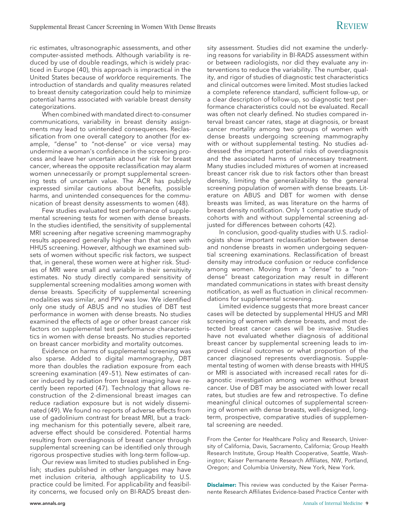ric estimates, ultrasonographic assessments, and other computer-assisted methods. Although variability is reduced by use of double readings, which is widely practiced in Europe (40), this approach is impractical in the United States because of workforce requirements. The introduction of standards and quality measures related to breast density categorization could help to minimize potential harms associated with variable breast density categorizations.

When combined with mandated direct-to-consumer communications, variability in breast density assignments may lead to unintended consequences. Reclassification from one overall category to another (for example, "dense" to "not-dense" or vice versa) may undermine a woman's confidence in the screening process and leave her uncertain about her risk for breast cancer, whereas the opposite reclassification may alarm women unnecessarily or prompt supplemental screening tests of uncertain value. The ACR has publicly expressed similar cautions about benefits, possible harms, and unintended consequences for the communication of breast density assessments to women (48).

Few studies evaluated test performance of supplemental screening tests for women with dense breasts. In the studies identified, the sensitivity of supplemental MRI screening after negative screening mammography results appeared generally higher than that seen with HHUS screening. However, although we examined subsets of women without specific risk factors, we suspect that, in general, these women were at higher risk. Studies of MRI were small and variable in their sensitivity estimates. No study directly compared sensitivity of supplemental screening modalities among women with dense breasts. Specificity of supplemental screening modalities was similar, and PPV was low. We identified only one study of ABUS and no studies of DBT test performance in women with dense breasts. No studies examined the effects of age or other breast cancer risk factors on supplemental test performance characteristics in women with dense breasts. No studies reported on breast cancer morbidity and mortality outcomes.

Evidence on harms of supplemental screening was also sparse. Added to digital mammography, DBT more than doubles the radiation exposure from each screening examination (49 –51). New estimates of cancer induced by radiation from breast imaging have recently been reported (47). Technology that allows reconstruction of the 2-dimensional breast images can reduce radiation exposure but is not widely disseminated (49). We found no reports of adverse effects from use of gadolinium contrast for breast MRI, but a tracking mechanism for this potentially severe, albeit rare, adverse effect should be considered. Potential harms resulting from overdiagnosis of breast cancer through supplemental screening can be identified only through rigorous prospective studies with long-term follow-up.

Our review was limited to studies published in English; studies published in other languages may have met inclusion criteria, although applicability to U.S. practice could be limited. For applicability and feasibility concerns, we focused only on BI-RADS breast density assessment. Studies did not examine the underlying reasons for variability in BI-RADS assessment within or between radiologists, nor did they evaluate any interventions to reduce the variability. The number, quality, and rigor of studies of diagnostic test characteristics and clinical outcomes were limited. Most studies lacked a complete reference standard, sufficient follow-up, or a clear description of follow-up, so diagnostic test performance characteristics could not be evaluated. Recall was often not clearly defined. No studies compared interval breast cancer rates, stage at diagnosis, or breast cancer mortality among two groups of women with dense breasts undergoing screening mammography with or without supplemental testing. No studies addressed the important potential risks of overdiagnosis and the associated harms of unnecessary treatment. Many studies included mixtures of women at increased breast cancer risk due to risk factors other than breast density, limiting the generalizability to the general screening population of women with dense breasts. Literature on ABUS and DBT for women with dense breasts was limited, as was literature on the harms of breast density notification. Only 1 comparative study of cohorts with and without supplemental screening adjusted for differences between cohorts (42).

In conclusion, good-quality studies with U.S. radiologists show important reclassification between dense and nondense breasts in women undergoing sequential screening examinations. Reclassification of breast density may introduce confusion or reduce confidence among women. Moving from a "dense" to a "nondense" breast categorization may result in different mandated communications in states with breast density notification, as well as fluctuation in clinical recommendations for supplemental screening.

Limited evidence suggests that more breast cancer cases will be detected by supplemental HHUS and MRI screening of women with dense breasts, and most detected breast cancer cases will be invasive. Studies have not evaluated whether diagnosis of additional breast cancer by supplemental screening leads to improved clinical outcomes or what proportion of the cancer diagnosed represents overdiagnosis. Supplemental testing of women with dense breasts with HHUS or MRI is associated with increased recall rates for diagnostic investigation among women without breast cancer. Use of DBT may be associated with lower recall rates, but studies are few and retrospective. To define meaningful clinical outcomes of supplemental screening of women with dense breasts, well-designed, longterm, prospective, comparative studies of supplemental screening are needed.

From the Center for Healthcare Policy and Research, University of California, Davis, Sacramento, California; Group Health Research Institute, Group Health Cooperative, Seattle, Washington; Kaiser Permanente Research Affiliates, NW, Portland, Oregon; and Columbia University, New York, New York.

**Disclaimer:** This review was conducted by the Kaiser Permanente Research Affiliates Evidence-based Practice Center with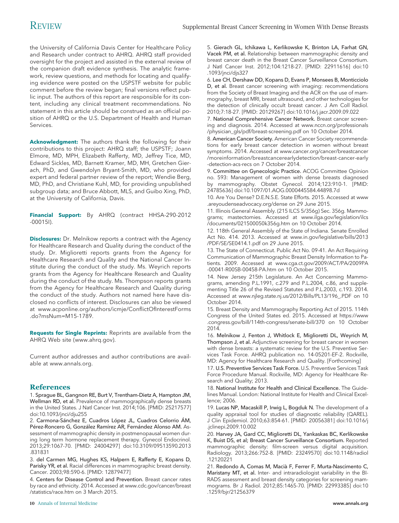the University of California Davis Center for Healthcare Policy and Research under contract to AHRQ. AHRQ staff provided oversight for the project and assisted in the external review of the companion draft evidence synthesis. The analytic framework, review questions, and methods for locating and qualifying evidence were posted on the USPSTF website for public comment before the review began; final versions reflect public input. The authors of this report are responsible for its content, including any clinical treatment recommendations. No statement in this article should be construed as an official position of AHRQ or the U.S. Department of Health and Human Services.

**Acknowledgment:** The authors thank the following for their contributions to this project: AHRQ staff; the USPSTF; Joann Elmore, MD, MPH, Elizabeth Rafferty, MD, Jeffrey Tice, MD, Edward Sickles, MD, Barnett Kramer, MD, MH, Gretchen Gierach, PhD, and Gwendolyn Bryant-Smith, MD, who provided expert and federal partner review of the report; Wendie Berg, MD, PhD, and Christiane Kuhl, MD, for providing unpublished subgroup data; and Bruce Abbott, MLS, and Guibo Xing, PhD, at the University of California, Davis.

**Financial Support:** By AHRQ (contract HHSA-290-2012 -00015I).

**Disclosures:** Dr. Melnikow reports a contract with the Agency for Healthcare Research and Quality during the conduct of the study. Dr. Miglioretti reports grants from the Agency for Healthcare Research and Quality and the National Cancer Institute during the conduct of the study. Ms. Weyrich reports grants from the Agency for Healthcare Research and Quality during the conduct of the study. Ms. Thompson reports grants from the Agency for Healthcare Research and Quality during the conduct of the study. Authors not named here have disclosed no conflicts of interest. Disclosures can also be viewed at [www.acponline.org/authors/icmje/ConflictOfInterestForms](http://www.acponline.org/authors/icmje/ConflictOfInterestForms.do?msNum=M15-1789) [.do?msNum=M15-1789.](http://www.acponline.org/authors/icmje/ConflictOfInterestForms.do?msNum=M15-1789)

**Requests for Single Reprints:** Reprints are available from the AHRQ Web site [\(www.ahrq.gov\)](http://www.ahrq.gov).

Current author addresses and author contributions are available at [www.annals.org.](http://www.annals.org)

# **References**

1. Sprague BL, Gangnon RE, Burt V, Trentham-Dietz A, Hampton JM, Wellman RD, et al. Prevalence of mammographically dense breasts in the United States. J Natl Cancer Inst. 2014;106. [PMID: 25217577] doi:10.1093/jnci/dju255

2. Carmona-Sánchez E, Cuadros López JL, Cuadros Celorrio ÁM, Pérez-Roncero G, González Ramírez AR, Fernández Alonso AM. Assessment of mammographic density in postmenopausal women during long term hormone replacement therapy. Gynecol Endocrinol. 2013;29:1067-70. [PMID: 24004297] doi:10.3109/09513590.2013 .831831

3. del Carmen MG, Hughes KS, Halpern E, Rafferty E, Kopans D, Parisky YR, et al. Racial differences in mammographic breast density. Cancer. 2003;98:590-6. [PMID: 12879477]

4. Centers for Disease Control and Prevention. Breast cancer rates by race and ethnicity. 2014. Accessed at [www.cdc.gov/cancer/breast](http://www.cdc.gov/cancer/breast/statistics/race.htm) [/statistics/race.htm](http://www.cdc.gov/cancer/breast/statistics/race.htm) on 3 March 2015.

5. Gierach GL, Ichikawa L, Kerlikowske K, Brinton LA, Farhat GN, Vacek PM, et al. Relationship between mammographic density and breast cancer death in the Breast Cancer Surveillance Consortium. J Natl Cancer Inst. 2012;104:1218-27. [PMID: 22911616] doi:10 .1093/jnci/djs327

6. Lee CH, Dershaw DD, Kopans D, Evans P, Monsees B, Monticciolo D, et al. Breast cancer screening with imaging: recommendations from the Society of Breast Imaging and the ACR on the use of mammography, breast MRI, breast ultrasound, and other technologies for the detection of clinically occult breast cancer. J Am Coll Radiol. 2010;7:18-27. [PMID: 20129267] doi:10.1016/j.jacr.2009.09.022

7. National Comprehensive Cancer Network. Breast cancer screening and diagnosis. 2014. Accessed at [www.nccn.org/professionals](http://www.nccn.org/professionals/physician_gls/pdf/breast-screening.pdf) [/physician\\_gls/pdf/breast-screening.pdf](http://www.nccn.org/professionals/physician_gls/pdf/breast-screening.pdf) on 10 October 2014.

8. American Cancer Society. American Cancer Society recommendations for early breast cancer detection in women without breast symptoms. 2014. Accessed at [www.cancer.org/cancer/breastcancer](http://www.cancer.org/cancer/breastcancer/moreinformation/breastcancerearlydetection/breast-cancer-early-detection-acs-recs) [/moreinformation/breastcancerearlydetection/breast-cancer-early](http://www.cancer.org/cancer/breastcancer/moreinformation/breastcancerearlydetection/breast-cancer-early-detection-acs-recs) [-detection-acs-recs](http://www.cancer.org/cancer/breastcancer/moreinformation/breastcancerearlydetection/breast-cancer-early-detection-acs-recs) on 7 October 2014.

9. Committee on Gynecologic Practice. ACOG Committee Opinion no. 593: Management of women with dense breasts diagnosed by mammography. Obstet Gynecol. 2014;123:910-1. [PMID: 24785636] doi:10.1097/01.AOG.0000445584.44898.7d

10. Are You Dense? D.E.N.S.E. State Efforts. 2015. Accessed at [www](http://www.areyoudenseadvocacy.org/dense) [.areyoudenseadvocacy.org/dense](http://www.areyoudenseadvocacy.org/dense) on 29 June 2015.

11. Illinois General Assembly. (215 ILCS 5/356g) Sec. 356g. Mammograms; mastectomies. Accessed at [www.ilga.gov/legislation/ilcs](http://www.ilga.gov/legislation/ilcs/documents/021500050k356g.htm) [/documents/021500050k356g.htm](http://www.ilga.gov/legislation/ilcs/documents/021500050k356g.htm) on 10 October 2014.

12. 118th General Assembly of the State of Indiana. Senate Enrolled Act No. 414. 2013. Accessed at [www.in.gov/legislative/bills/2013](http://www.in.gov/legislative/bills/2013/PDF/SE/SE0414.1.pdf) [/PDF/SE/SE0414.1.pdf](http://www.in.gov/legislative/bills/2013/PDF/SE/SE0414.1.pdf) on 29 June 2015.

13. The State of Connecticut. Public Act No. 09-41. An Act Requiring Communication of Mammographic Breast Density Information to Patients. 2009. Accessed at [www.cga.ct.gov/2009/ACT/PA/2009PA](http://www.cga.ct.gov/2009/ACT/PA/2009PA-00041-R00SB-00458-PA.htm) [-00041-R00SB-00458-PA.htm](http://www.cga.ct.gov/2009/ACT/PA/2009PA-00041-R00SB-00458-PA.htm) on 10 October 2015.

14. New Jersey 215th Legislature. An Act Concerning Mammograms, amending P.L.1991, c.279 and P.L.2004, c.86, and supplementing Title 26 of the Revised Statutes and P.L.2003, c.193. 2014. Accessed at [www.njleg.state.nj.us/2012/Bills/PL13/196\\_.PDF](http://www.njleg.state.nj.us/2012/Bills/PL13/196_.PDF) on 10 October 2014.

15. Breast Density and Mammography Reporting Act of 2015. 114th Congress of the United States ed. 2015. Accessed at [https://www](https://www.congress.gov/bill/114th-congress/senate-bill/370) [.congress.gov/bill/114th-congress/senate-bill/370](https://www.congress.gov/bill/114th-congress/senate-bill/370) on 10 October 2014.

16. Melnikow J, Fenton J, Whitlock E, Miglioretti DL, Weyrich M, Thompson J, et al. Adjunctive screening for breast cancer in women with dense breasts: a systematic review for the U.S. Preventive Services Task Force. AHRQ publication no. 14-05201-EF-2. Rockville, MD: Agency for Healthcare Research and Quality. [Forthcoming]

17. U.S. Preventive Services Task Force. U.S. Preventive Services Task Force Procedure Manual. Rockville, MD: Agency for Healthcare Research and Quality; 2013.

18. National Institute for Health and Clinical Excellence. The Guidelines Manual. London: National Institute for Health and Clinical Excellence; 2006.

19. Lucas NP, Macaskill P, Irwig L, Bogduk N. The development of a quality appraisal tool for studies of diagnostic reliability (QAREL). J Clin Epidemiol. 2010;63:854-61. [PMID: 20056381] doi:10.1016/j .jclinepi.2009.10.002

20. Harvey JA, Gard CC, Miglioretti DL, Yankaskas BC, Kerlikowske K, Buist DS, et al; Breast Cancer Surveillance Consortium. Reported mammographic density: film-screen versus digital acquisition. Radiology. 2013;266:752-8. [PMID: 23249570] doi:10.1148/radiol .12120221

21. Redondo A, Comas M, Macia` F, Ferrer F, Murta-Nascimento C, Maristany MT, et al. Inter- and intraradiologist variability in the BI-RADS assessment and breast density categories for screening mammograms. Br J Radiol. 2012;85:1465-70. [PMID: 22993385] doi:10 .1259/bjr/21256379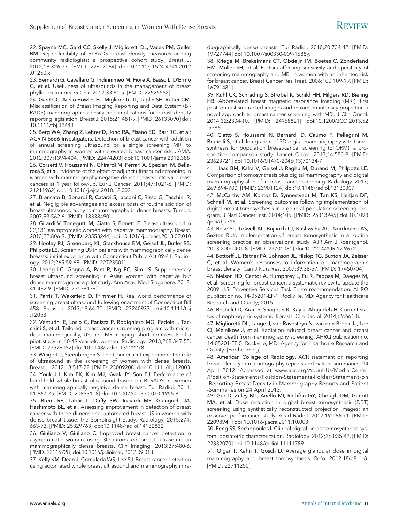22. Spayne MC, Gard CC, Skelly J, Miglioretti DL, Vacek PM, Geller BM. Reproducibility of BI-RADS breast density measures among community radiologists: a prospective cohort study. Breast J. 2012;18:326-33. [PMID: 22607064] doi:10.1111/j.1524-4741.2012 .01250.x

23. Bernardi G, Cavallaro G, Indinnimeo M, Fiore A, Basso L, D'Ermo G, et al. Usefulness of ultrasounds in the management of breast phyllodes tumors. G Chir. 2012;33:81-5. [PMID: 22525552]

24. Gard CC, Aiello Bowles EJ, Miglioretti DL, Taplin SH, Rutter CM. Misclassification of Breast Imaging Reporting and Data System (BI-RADS) mammographic density and implications for breast density reporting legislation. Breast J. 2015;21:481-9. [PMID: 26133090] doi: 10.1111/tbj.12443

25. Berg WA, Zhang Z, Lehrer D, Jong RA, Pisano ED, Barr RG, et al; ACRIN 6666 Investigators. Detection of breast cancer with addition of annual screening ultrasound or a single screening MRI to mammography in women with elevated breast cancer risk. JAMA. 2012;307:1394-404. [PMID: 22474203] doi:10.1001/jama.2012.388 26. Corsetti V, Houssami N, Ghirardi M, Ferrari A, Speziani M, Bellarosa S, et al. Evidence of the effect of adjunct ultrasound screening in women with mammography-negative dense breasts: interval breast

cancers at 1 year follow-up. Eur J Cancer. 2011;47:1021-6. [PMID: 21211962] doi:10.1016/j.ejca.2010.12.002

27. Brancato B, Bonardi R, Catarzi S, Iacconi C, Risso G, Taschini R, et al. Negligible advantages and excess costs of routine addition of breast ultrasonography to mammography in dense breasts. Tumori. 2007;93:562-6. [PMID: 18338490]

28. Girardi V, Tonegutti M, Ciatto S, Bonetti F. Breast ultrasound in 22,131 asymptomatic women with negative mammography. Breast. 2013;22:806-9. [PMID: 23558244] doi:10.1016/j.breast.2013.02.010

29. Hooley RJ, Greenberg KL, Stackhouse RM, Geisel JL, Butler RS, Philpotts LE. Screening US in patients with mammographically dense breasts: initial experience with Connecticut Public Act 09-41. Radiology. 2012;265:59-69. [PMID: 22723501]

30. Leong LC, Gogna A, Pant R, Ng FC, Sim LS. Supplementary breast ultrasound screening in Asian women with negative but dense mammograms-a pilot study. Ann Acad Med Singapore. 2012; 41:432-9. [PMID: 23138139]

31. Parris T, Wakefield D, Frimmer H. Real world performance of screening breast ultrasound following enactment of Connecticut Bill 458. Breast J. 2013;19:64-70. [PMID: 23240937] doi:10.1111/tbj .12053

32. Venturini E, Losio C, Panizza P, Rodighiero MG, Fedele I, Tacchini S, et al. Tailored breast cancer screening program with microdose mammography, US, and MR Imaging: short-term results of a pilot study in 40-49-year-old women. Radiology. 2013;268:347-55. [PMID: 23579052] doi:10.1148/radiol.13122278

33. Weigert J, Steenbergen S. The Connecticut experiment: the role of ultrasound in the screening of women with dense breasts. Breast J. 2012;18:517-22. [PMID: 23009208] doi:10.1111/tbj.12003

34. Youk JH, Kim EK, Kim MJ, Kwak JY, Son EJ. Performance of hand-held whole-breast ultrasound based on BI-RADS in women with mammographically negative dense breast. Eur Radiol. 2011; 21:667-75. [PMID: 20853108] doi:10.1007/s00330-010-1955-8

35. Brem RF, Tabár L, Duffy SW, Inciardi MF, Guingrich JA, Hashimoto BE, et al. Assessing improvement in detection of breast cancer with three-dimensional automated breast US in women with dense breast tissue: the SomoInsight Study. Radiology. 2015;274: 663-73. [PMID: 25329763] doi:10.1148/radiol.14132832

36. Giuliano V, Giuliano C. Improved breast cancer detection in asymptomatic women using 3D-automated breast ultrasound in mammographically dense breasts. Clin Imaging. 2013;37:480-6. [PMID: 23116728] doi:10.1016/j.clinimag.2012.09.018

37. Kelly KM, Dean J, Comulada WS, Lee SJ. Breast cancer detection using automated whole breast ultrasound and mammography in radiographically dense breasts. Eur Radiol. 2010;20:734-42. [PMID: 19727744] doi:10.1007/s00330-009-1588-y

38. Kriege M, Brekelmans CT, Obdeijn IM, Boetes C, Zonderland HM, Muller SH, et al. Factors affecting sensitivity and specificity of screening mammography and MRI in women with an inherited risk for breast cancer. Breast Cancer Res Treat. 2006;100:109-19. [PMID: 16791481]

39. Kuhl CK, Schrading S, Strobel K, Schild HH, Hilgers RD, Bieling HB. Abbreviated breast magnetic resonance imaging (MRI): first postcontrast subtracted images and maximum-intensity projection-a novel approach to breast cancer screening with MRI. J Clin Oncol. 2014;32:2304-10. [PMID: 24958821] doi:10.1200/JCO.2013.52 .5386

40. Ciatto S, Houssami N, Bernardi D, Caumo F, Pellegrini M, Brunelli S, et al. Integration of 3D digital mammography with tomosynthesis for population breast-cancer screening (STORM): a prospective comparison study. Lancet Oncol. 2013;14:583-9. [PMID: 23623721] doi:10.1016/S1470-2045(13)70134-7

41. Haas BM, Kalra V, Geisel J, Raghu M, Durand M, Philpotts LE. Comparison of tomosynthesis plus digital mammography and digital mammography alone for breast cancer screening. Radiology. 2013; 269:694-700. [PMID: 23901124] doi:10.1148/radiol.13130307

42. McCarthy AM, Kontos D, Synnestvedt M, Tan KS, Heitjan DF, Schnall M, et al. Screening outcomes following implementation of digital breast tomosynthesis in a general-population screening program. J Natl Cancer Inst. 2014;106. [PMID: 25313245] doi:10.1093 /jnci/dju316

43. Rose SL, Tidwell AL, Bujnoch LJ, Kushwaha AC, Nordmann AS, Sexton R Jr. Implementation of breast tomosynthesis in a routine screening practice: an observational study. AJR Am J Roentgenol. 2013;200:1401-8. [PMID: 23701081] doi:10.2214/AJR.12.9672

44. Bottorff JL, Ratner PA, Johnson JL, Hislop TG, Buxton JA, Zeisser C, et al. Women's responses to information on mammographic breast density. Can J Nurs Res. 2007;39:38-57. [PMID: 17450704]

45. Nelson HD, Cantor A, Humphrey L, Fu R, Pappas M, Daeges M, et al. Screening for breast cancer: a systematic review to update the 2009 U.S. Preventive Services Task Force recommendation. AHRQ publication no. 14-05201-EF-1. Rockville, MD: Agency for Healthcare Research and Quality; 2015.

46. Besheli LD, Aran S, Shaqdan K, Kay J, Abujudeh H. Current status of nephrogenic systemic fibrosis. Clin Radiol. 2014;69:661-8.

47. Miglioretti DL, Lange J, van Ravesteyn N, van den Broek JJ, Lee CI, Melnikow J, et al. Radiation-induced breast cancer and breast cancer death from mammography screening. AHRQ publication no. 14-05201-EF-5. Rockville, MD: Agency for Healthcare Research and Quality. [Forthcoming]

48. American College of Radiology. ACR statement on reporting breast density in mammography reports and patient summaries. 24 April 2012. Accessed at [www.acr.org/About-Us/Media-Center](http://www.acr.org/About-Us/Media-Center/Position-Statements/Position-Statements-Folder/Statement-on-Reporting-Breast-Density-in-Mammography-Reports-and-Patient-Summaries) [/Position-Statements/Position-Statements-Folder/Statement-on](http://www.acr.org/About-Us/Media-Center/Position-Statements/Position-Statements-Folder/Statement-on-Reporting-Breast-Density-in-Mammography-Reports-and-Patient-Summaries) [-Reporting-Breast-Density-in-Mammography-Reports-and-Patient](http://www.acr.org/About-Us/Media-Center/Position-Statements/Position-Statements-Folder/Statement-on-Reporting-Breast-Density-in-Mammography-Reports-and-Patient-Summaries) [-Summaries](http://www.acr.org/About-Us/Media-Center/Position-Statements/Position-Statements-Folder/Statement-on-Reporting-Breast-Density-in-Mammography-Reports-and-Patient-Summaries) on 24 April 2013.

49. Gur D, Zuley ML, Anello MI, Rathfon GY, Chough DM, Ganott MA, et al. Dose reduction in digital breast tomosynthesis (DBT) screening using synthetically reconstructed projection images: an observer performance study. Acad Radiol. 2012;19:166-71. [PMID: 22098941] doi:10.1016/j.acra.2011.10.003

50. Feng SS, Sechopoulos I. Clinical digital breast tomosynthesis system: dosimetric characterization. Radiology. 2012;263:35-42. [PMID: 22332070] doi:10.1148/radiol.11111789

51. Olgar T, Kahn T, Gosch D. Average glandular dose in digital mammography and breast tomosynthesis. Rofo. 2012;184:911-8. [PMID: 22711250]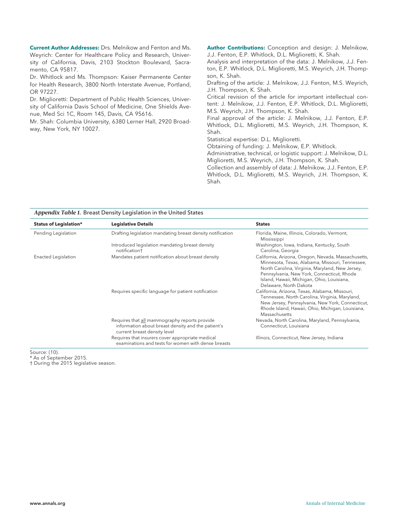**Current Author Addresses:** Drs. Melnikow and Fenton and Ms. Weyrich: Center for Healthcare Policy and Research, University of California, Davis, 2103 Stockton Boulevard, Sacramento, CA 95817.

Dr. Whitlock and Ms. Thompson: Kaiser Permanente Center for Health Research, 3800 North Interstate Avenue, Portland, OR 97227.

Dr. Miglioretti: Department of Public Health Sciences, University of California Davis School of Medicine, One Shields Avenue, Med Sci 1C, Room 145, Davis, CA 95616.

Mr. Shah: Columbia University, 6380 Lerner Hall, 2920 Broadway, New York, NY 10027.

**Author Contributions:** Conception and design: J. Melnikow, J.J. Fenton, E.P. Whitlock, D.L. Miglioretti, K. Shah.

Analysis and interpretation of the data: J. Melnikow, J.J. Fenton, E.P. Whitlock, D.L. Miglioretti, M.S. Weyrich, J.H. Thompson, K. Shah.

Drafting of the article: J. Melnikow, J.J. Fenton, M.S. Weyrich, J.H. Thompson, K. Shah.

Critical revision of the article for important intellectual content: J. Melnikow, J.J. Fenton, E.P. Whitlock, D.L. Miglioretti, M.S. Weyrich, J.H. Thompson, K. Shah.

Final approval of the article: J. Melnikow, J.J. Fenton, E.P. Whitlock, D.L. Miglioretti, M.S. Weyrich, J.H. Thompson, K. Shah.

Statistical expertise: D.L. Miglioretti.

Obtaining of funding: J. Melnikow, E.P. Whitlock.

Administrative, technical, or logistic support: J. Melnikow, D.L. Miglioretti, M.S. Weyrich, J.H. Thompson, K. Shah.

Collection and assembly of data: J. Melnikow, J.J. Fenton, E.P. Whitlock, D.L. Miglioretti, M.S. Weyrich, J.H. Thompson, K. Shah.

#### *Appendix Table 1.* Breast Density Legislation in the United States

| <b>Status of Legislation*</b> | <b>Legislative Details</b>                                                                                                          | <b>States</b>                                                                                                                                                                                                                                                                   |
|-------------------------------|-------------------------------------------------------------------------------------------------------------------------------------|---------------------------------------------------------------------------------------------------------------------------------------------------------------------------------------------------------------------------------------------------------------------------------|
| Pending Legislation           | Drafting legislation mandating breast density notification                                                                          | Florida, Maine, Illinois, Colorado, Vermont,<br>Mississippi                                                                                                                                                                                                                     |
|                               | Introduced legislation mandating breast density<br>notification <sup>+</sup>                                                        | Washington, Iowa, Indiana, Kentucky, South<br>Carolina, Georgia                                                                                                                                                                                                                 |
| Enacted Legislation           | Mandates patient notification about breast density                                                                                  | California, Arizona, Oregon, Nevada, Massachusetts,<br>Minnesota, Texas, Alabama, Missouri, Tennessee,<br>North Carolina, Virginia, Maryland, New Jersey,<br>Pennsylvania, New York, Connecticut, Rhode<br>Island, Hawaii, Michigan, Ohio, Louisiana,<br>Delaware, North Dakota |
|                               | Requires specific language for patient notification                                                                                 | California, Arizona, Texas, Alabama, Missouri,<br>Tennessee, North Carolina, Virginia, Maryland,<br>New Jersey, Pennsylvania, New York, Connecticut,<br>Rhode Island, Hawaii, Ohio, Michigan, Louisiana,<br>Massachusetts                                                       |
|                               | Requires that all mammography reports provide<br>information about breast density and the patient's<br>current breast density level | Nevada, North Carolina, Maryland, Pennsylvania,<br>Connecticut, Louisiana                                                                                                                                                                                                       |
|                               | Requires that insurers cover appropriate medical<br>examinations and tests for women with dense breasts                             | Illinois, Connecticut, New Jersey, Indiana                                                                                                                                                                                                                                      |

Source: (10).

\* As of September 2015.

† During the 2015 legislative season.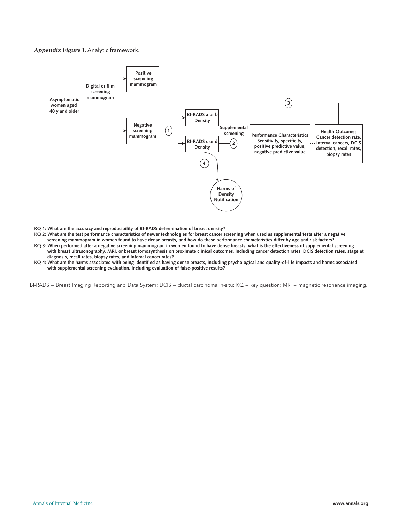#### *Appendix Figure 1.* Analytic framework.



- **KQ 1: What are the accuracy and reproducibility of BI-RADS determination of breast density?**
- **KQ 2: What are the test performance characteristics of newer technologies for breast cancer screening when used as supplemental tests after a negative**
- **screening mammogram in women found to have dense breasts, and how do these performance characteristics differ by age and risk factors? KQ 3: When performed after a negative screening mammogram in women found to have dense breasts, what is the effectiveness of supplemental screening with breast ultrasonography, MRI, or breast tomosynthesis on proximate clinical outcomes, including cancer detection rates, DCIS detection rates, stage at diagnosis, recall rates, biopsy rates, and interval cancer rates?**
- **KQ 4: What are the harms associated with being identified as having dense breasts, including psychological and quality-of-life impacts and harms associated with supplemental screening evaluation, including evaluation of false-positive results?**

BI-RADS = Breast Imaging Reporting and Data System; DCIS = ductal carcinoma in-situ; KQ = key question; MRI = magnetic resonance imaging.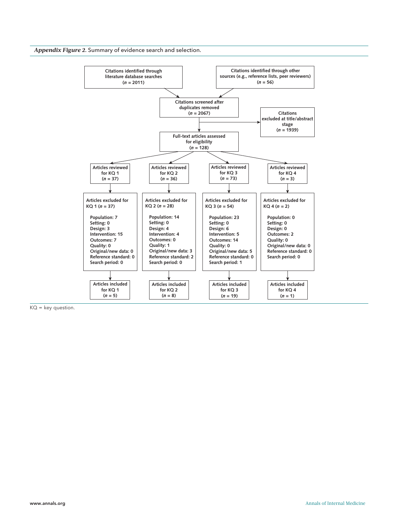*Appendix Figure 2.* Summary of evidence search and selection.



 $KO = key question.$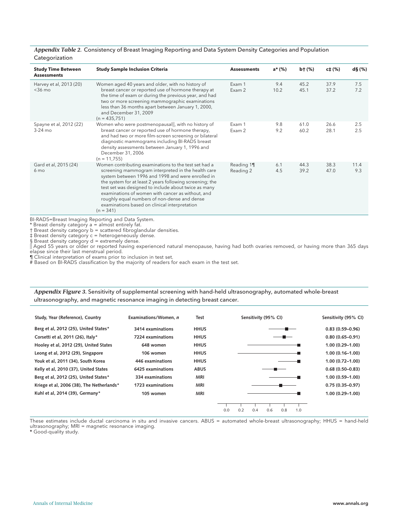#### *Appendix Table 2.* Consistency of Breast Imaging Reporting and Data System Density Categories and Population Categorization

| <b>Study Time Between</b><br><b>Assessments</b> | <b>Study Sample Inclusion Criteria</b>                                                                                                                                                                                                                                                                                                                                                                                                                    | <b>Assessments</b>      | a* (%)      | $b + (\%)$   | c‡ (%)       | $d\mathbf{\mathcal{S}}(\%)$ |
|-------------------------------------------------|-----------------------------------------------------------------------------------------------------------------------------------------------------------------------------------------------------------------------------------------------------------------------------------------------------------------------------------------------------------------------------------------------------------------------------------------------------------|-------------------------|-------------|--------------|--------------|-----------------------------|
| Harvey et al, 2013 (20)<br>$<$ 36 mo            | Women aged 40 years and older, with no history of<br>breast cancer or reported use of hormone therapy at<br>the time of exam or during the previous year, and had<br>two or more screening mammographic examinations<br>less than 36 months apart between January 1, 2000,<br>and December 31, 2009<br>$(n = 435, 751)$                                                                                                                                   | Exam 1<br>Exam 2        | 9.4<br>10.2 | 45.2<br>45.1 | 37.9<br>37.2 | 7.5<br>7.2                  |
| Spayne et al, 2012 (22)<br>$3-24$ mo            | Women who were postmenopausall, with no history of<br>breast cancer or reported use of hormone therapy,<br>and had two or more film-screen screening or bilateral<br>diagnostic mammograms including BI-RADS breast<br>density assessments between January 1, 1996 and<br>December 31, 2006<br>$(n = 11, 755)$                                                                                                                                            | Exam 1<br>Exam 2        | 9.8<br>9.2  | 61.0<br>60.2 | 26.6<br>28.1 | 2.5<br>2.5                  |
| Gard et al, 2015 (24)<br>$6 \text{ mo}$         | Women contributing examinations to the test set had a<br>screening mammogram interpreted in the health care<br>system between 1996 and 1998 and were enrolled in<br>the system for at least 2 years following screening; the<br>test set was designed to include about twice as many<br>examinations of women with cancer as without, and<br>roughly equal numbers of non-dense and dense<br>examinations based on clinical interpretation<br>$(n = 341)$ | Reading 11<br>Reading 2 | 6.1<br>4.5  | 44.3<br>39.2 | 38.3<br>47.0 | 11.4<br>9.3                 |

BI-RADS=Breast Imaging Reporting and Data System.

\* Breast density category a = almost entirely fat.

† Breast density category b = scattered fibroglandular densities.

‡ Breast density category c = heterogeneously dense.

§ Breast density category d = extremely dense.<br>|| Aged 55 years or older or reported having experienced natural menopause, having had both ovaries removed, or having more than 365 days elapse since their last menstrual period.

¶ Clinical interpretation of exams prior to inclusion in test set.

# Based on BI-RADS classification by the majority of readers for each exam in the test set.

*Appendix Figure 3.* Sensitivity of supplemental screening with hand-held ultrasonography, automated whole-breast ultrasonography, and magnetic resonance imaging in detecting breast cancer.

| Study, Year (Reference), Country          | Examinations/Women. n | Test        | Sensitivity (95% CI)                   | Sensitivity (95% CI) |
|-------------------------------------------|-----------------------|-------------|----------------------------------------|----------------------|
| Berg et al, 2012 (25), United States*     | 3414 examinations     | <b>HHUS</b> |                                        | $0.83(0.59 - 0.96)$  |
| Corsetti et al, 2011 (26), Italy*         | 7224 examinations     | <b>HHUS</b> |                                        | $0.80(0.65 - 0.91)$  |
| Hooley et al, 2012 (29), United States    | 648 women             | <b>HHUS</b> |                                        | $1.00(0.29 - 1.00)$  |
| Leong et al, 2012 (29), Singapore         | 106 women             | <b>HHUS</b> |                                        | $1.00(0.16 - 1.00)$  |
| Youk et al, 2011 (34), South Korea        | 446 examinations      | <b>HHUS</b> |                                        | $1.00(0.72 - 1.00)$  |
| Kelly et al, 2010 (37), United States     | 6425 examinations     | <b>ABUS</b> |                                        | $0.68(0.50 - 0.83)$  |
| Berg et al, 2012 (25), United States*     | 334 examinations      | <b>MRI</b>  |                                        | $1.00(0.59 - 1.00)$  |
| Kriege et al, 2006 (38), The Netherlands* | 1723 examinations     | <b>MRI</b>  |                                        | $0.75(0.35 - 0.97)$  |
| Kuhl et al, 2014 (39), Germany*           | 105 women             | <b>MRI</b>  |                                        | $1.00(0.29 - 1.00)$  |
|                                           |                       |             | 0.2<br>0.4<br>0.6<br>0.8<br>0.0<br>1.0 |                      |

These estimates include ductal carcinoma in situ and invasive cancers. ABUS = automated whole-breast ultrasonography; HHUS = hand-held ultrasonography; MRI = magnetic resonance imaging.

\* Good-quality study.